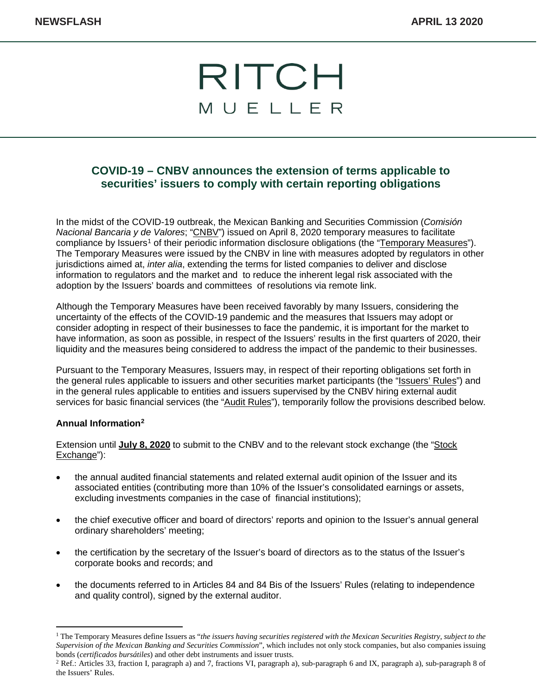

# **COVID-19 – CNBV announces the extension of terms applicable to securities' issuers to comply with certain reporting obligations**

In the midst of the COVID-19 outbreak, the Mexican Banking and Securities Commission (*Comisión Nacional Bancaria y de Valores*; "CNBV") issued on April 8, 2020 temporary measures to facilitate compliance by Issuers<sup>[1](#page-0-0)</sup> of their periodic information disclosure obligations (the "Temporary Measures"). The Temporary Measures were issued by the CNBV in line with measures adopted by regulators in other jurisdictions aimed at, *inter alia*, extending the terms for listed companies to deliver and disclose information to regulators and the market and to reduce the inherent legal risk associated with the adoption by the Issuers' boards and committees of resolutions via remote link.

Although the Temporary Measures have been received favorably by many Issuers, considering the uncertainty of the effects of the COVID-19 pandemic and the measures that Issuers may adopt or consider adopting in respect of their businesses to face the pandemic, it is important for the market to have information, as soon as possible, in respect of the Issuers' results in the first quarters of 2020, their liquidity and the measures being considered to address the impact of the pandemic to their businesses.

Pursuant to the Temporary Measures, Issuers may, in respect of their reporting obligations set forth in the general rules applicable to issuers and other securities market participants (the "Issuers' Rules") and in the general rules applicable to entities and issuers supervised by the CNBV hiring external audit services for basic financial services (the "Audit Rules"), temporarily follow the provisions described below.

#### **Annual Information[2](#page-0-1)**

Extension until **July 8, 2020** to submit to the CNBV and to the relevant stock exchange (the "Stock Exchange"):

- the annual audited financial statements and related external audit opinion of the Issuer and its associated entities (contributing more than 10% of the Issuer's consolidated earnings or assets, excluding investments companies in the case of financial institutions);
- the chief executive officer and board of directors' reports and opinion to the Issuer's annual general ordinary shareholders' meeting;
- the certification by the secretary of the Issuer's board of directors as to the status of the Issuer's corporate books and records; and
- the documents referred to in Articles 84 and 84 Bis of the Issuers' Rules (relating to independence and quality control), signed by the external auditor.

<span id="page-0-0"></span><sup>1</sup> The Temporary Measures define Issuers as "*the issuers having securities registered with the Mexican Securities Registry, subject to the Supervision of the Mexican Banking and Securities Commission*", which includes not only stock companies, but also companies issuing

<span id="page-0-1"></span><sup>&</sup>lt;sup>2</sup> Ref.: Articles 33, fraction I, paragraph a) and 7, fractions VI, paragraph a), sub-paragraph 6 and IX, paragraph a), sub-paragraph 8 of the Issuers' Rules.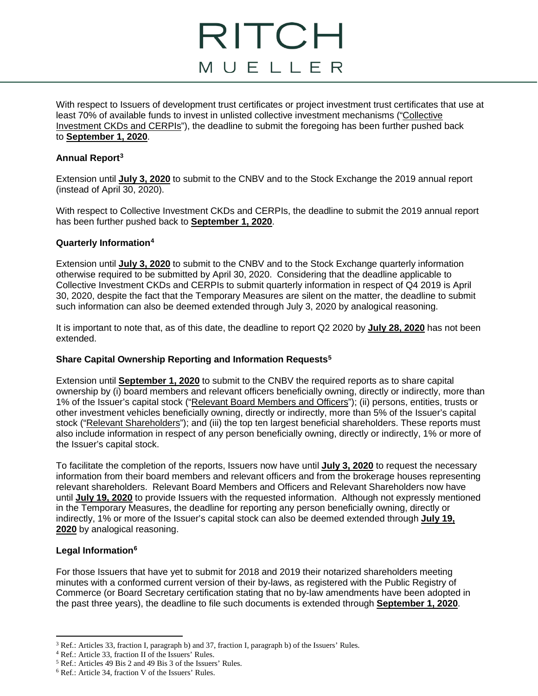# RITCH MUELLER

With respect to Issuers of development trust certificates or project investment trust certificates that use at least 70% of available funds to invest in unlisted collective investment mechanisms ("Collective Investment CKDs and CERPIs"), the deadline to submit the foregoing has been further pushed back to **September 1, 2020**.

#### **Annual Report[3](#page-1-0)**

Extension until **July 3, 2020** to submit to the CNBV and to the Stock Exchange the 2019 annual report (instead of April 30, 2020).

With respect to Collective Investment CKDs and CERPIs, the deadline to submit the 2019 annual report has been further pushed back to **September 1, 2020**.

#### **Quarterly Information[4](#page-1-1)**

Extension until **July 3, 2020** to submit to the CNBV and to the Stock Exchange quarterly information otherwise required to be submitted by April 30, 2020. Considering that the deadline applicable to Collective Investment CKDs and CERPIs to submit quarterly information in respect of Q4 2019 is April 30, 2020, despite the fact that the Temporary Measures are silent on the matter, the deadline to submit such information can also be deemed extended through July 3, 2020 by analogical reasoning.

It is important to note that, as of this date, the deadline to report Q2 2020 by **July 28, 2020** has not been extended.

## **Share Capital Ownership Reporting and Information Requests[5](#page-1-2)**

Extension until **September 1, 2020** to submit to the CNBV the required reports as to share capital ownership by (i) board members and relevant officers beneficially owning, directly or indirectly, more than 1% of the Issuer's capital stock ("Relevant Board Members and Officers"); (ii) persons, entities, trusts or other investment vehicles beneficially owning, directly or indirectly, more than 5% of the Issuer's capital stock ("Relevant Shareholders"); and (iii) the top ten largest beneficial shareholders. These reports must also include information in respect of any person beneficially owning, directly or indirectly, 1% or more of the Issuer's capital stock.

To facilitate the completion of the reports, Issuers now have until **July 3, 2020** to request the necessary information from their board members and relevant officers and from the brokerage houses representing relevant shareholders. Relevant Board Members and Officers and Relevant Shareholders now have until **July 19, 2020** to provide Issuers with the requested information. Although not expressly mentioned in the Temporary Measures, the deadline for reporting any person beneficially owning, directly or indirectly, 1% or more of the Issuer's capital stock can also be deemed extended through **July 19, 2020** by analogical reasoning.

## **Legal Informatio[n6](#page-1-3)**

For those Issuers that have yet to submit for 2018 and 2019 their notarized shareholders meeting minutes with a conformed current version of their by-laws, as registered with the Public Registry of Commerce (or Board Secretary certification stating that no by-law amendments have been adopted in the past three years), the deadline to file such documents is extended through **September 1, 2020**.

<span id="page-1-0"></span> $\overline{\phantom{a}}$ <sup>3</sup> Ref.: Articles 33, fraction I, paragraph b) and 37, fraction I, paragraph b) of the Issuers' Rules.

<span id="page-1-1"></span><sup>4</sup> Ref.: Article 33, fraction II of the Issuers' Rules.

<span id="page-1-2"></span><sup>5</sup> Ref.: Articles 49 Bis 2 and 49 Bis 3 of the Issuers' Rules.

<span id="page-1-3"></span><sup>6</sup> Ref.: Article 34, fraction V of the Issuers' Rules.